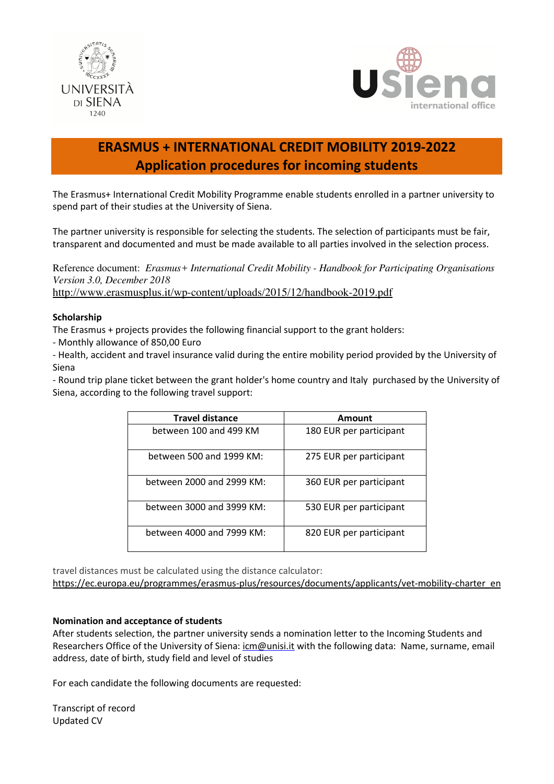



# **ERASMUS + INTERNATIONAL CREDIT MOBILITY 2019-2022 Application procedures for incoming students**

The Erasmus+ International Credit Mobility Programme enable students enrolled in a partner university to spend part of their studies at the University of Siena.

The partner university is responsible for selecting the students. The selection of participants must be fair, transparent and documented and must be made available to all parties involved in the selection process.

Reference document: *Erasmus+ International Credit Mobility - Handbook for Participating Organisations Version 3.0, December 2018* http://www.erasmusplus.it/wp-content/uploads/2015/12/handbook-2019.pdf

## **Scholarship**

The Erasmus + projects provides the following financial support to the grant holders:

- Monthly allowance of 850,00 Euro

- Health, accident and travel insurance valid during the entire mobility period provided by the University of Siena

- Round trip plane ticket between the grant holder's home country and Italy purchased by the University of Siena, according to the following travel support:

| <b>Travel distance</b>    | Amount                  |
|---------------------------|-------------------------|
| between 100 and 499 KM    | 180 EUR per participant |
| between 500 and 1999 KM:  | 275 EUR per participant |
| between 2000 and 2999 KM: | 360 EUR per participant |
| between 3000 and 3999 KM: | 530 EUR per participant |
| between 4000 and 7999 KM: | 820 EUR per participant |

travel distances must be calculated using the distance calculator:

https://ec.europa.eu/programmes/erasmus-plus/resources/documents/applicants/vet-mobility-charter\_en

#### **Nomination and acceptance of students**

After students selection, the partner university sends a nomination letter to the Incoming Students and Researchers Office of the University of Siena: icm@unisi.it with the following data: Name, surname, email address, date of birth, study field and level of studies

For each candidate the following documents are requested:

Transcript of record Updated CV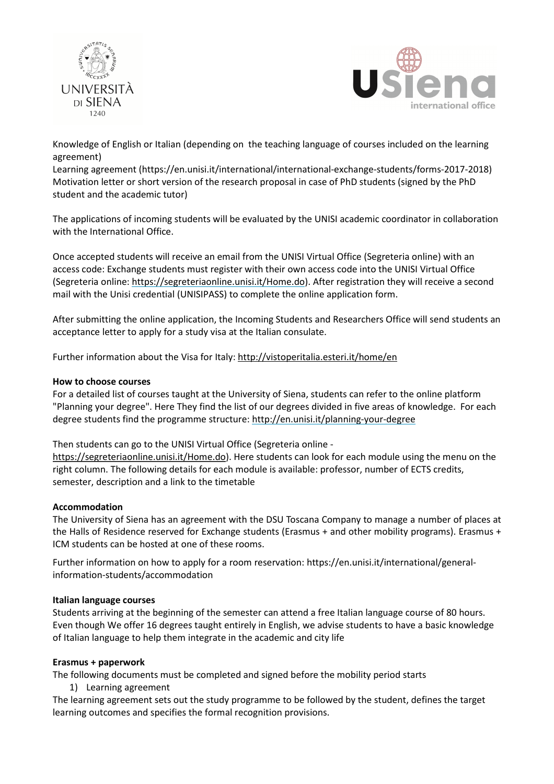



Knowledge of English or Italian (depending on the teaching language of courses included on the learning agreement)

Learning agreement (https://en.unisi.it/international/international-exchange-students/forms-2017-2018) Motivation letter or short version of the research proposal in case of PhD students (signed by the PhD student and the academic tutor)

The applications of incoming students will be evaluated by the UNISI academic coordinator in collaboration with the International Office.

Once accepted students will receive an email from the UNISI Virtual Office (Segreteria online) with an access code: Exchange students must register with their own access code into the UNISI Virtual Office (Segreteria online: https://segreteriaonline.unisi.it/Home.do). After registration they will receive a second mail with the Unisi credential (UNISIPASS) to complete the online application form.

After submitting the online application, the Incoming Students and Researchers Office will send students an acceptance letter to apply for a study visa at the Italian consulate.

Further information about the Visa for Italy: http://vistoperitalia.esteri.it/home/en

## **How to choose courses**

For a detailed list of courses taught at the University of Siena, students can refer to the online platform "Planning your degree". Here They find the list of our degrees divided in five areas of knowledge. For each degree students find the programme structure: http://en.unisi.it/planning-your-degree

Then students can go to the UNISI Virtual Office (Segreteria online -

https://segreteriaonline.unisi.it/Home.do). Here students can look for each module using the menu on the right column. The following details for each module is available: professor, number of ECTS credits, semester, description and a link to the timetable

#### **Accommodation**

The University of Siena has an agreement with the DSU Toscana Company to manage a number of places at the Halls of Residence reserved for Exchange students (Erasmus + and other mobility programs). Erasmus + ICM students can be hosted at one of these rooms.

Further information on how to apply for a room reservation: https://en.unisi.it/international/generalinformation-students/accommodation

#### **Italian language courses**

Students arriving at the beginning of the semester can attend a free Italian language course of 80 hours. Even though We offer 16 degrees taught entirely in English, we advise students to have a basic knowledge of Italian language to help them integrate in the academic and city life

#### **Erasmus + paperwork**

The following documents must be completed and signed before the mobility period starts

1) Learning agreement

The learning agreement sets out the study programme to be followed by the student, defines the target learning outcomes and specifies the formal recognition provisions.